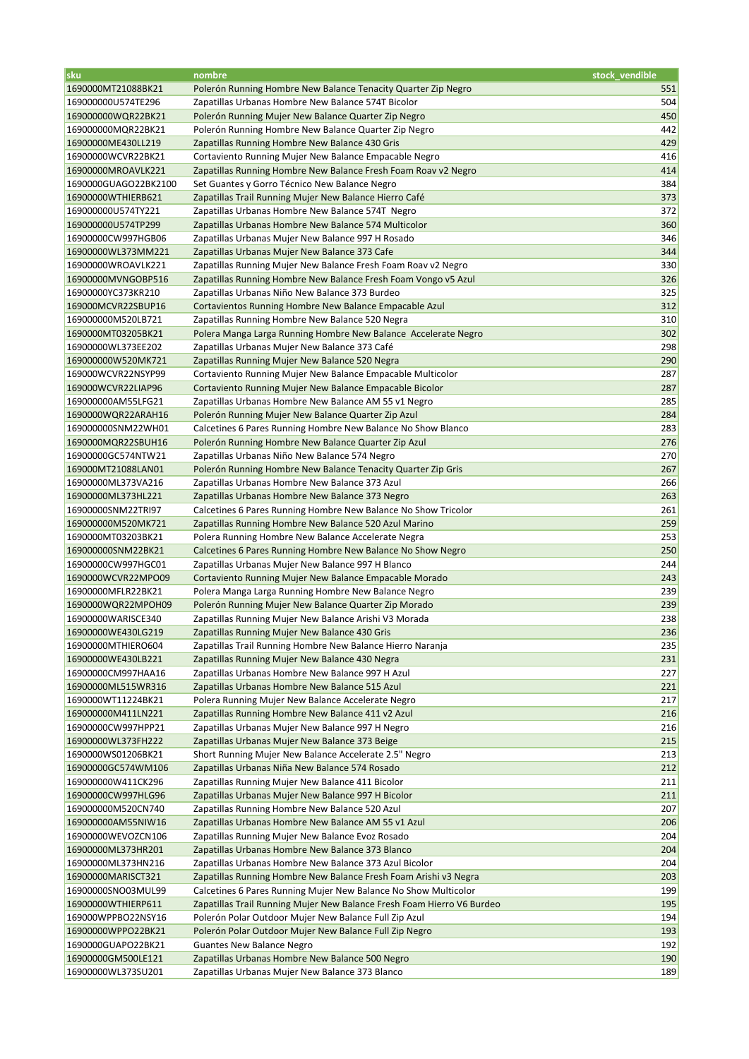| sku                                      | nombre                                                                                                                                    | stock vendible |
|------------------------------------------|-------------------------------------------------------------------------------------------------------------------------------------------|----------------|
| 1690000MT21088BK21                       | Polerón Running Hombre New Balance Tenacity Quarter Zip Negro                                                                             | 551            |
| 169000000U574TE296                       | Zapatillas Urbanas Hombre New Balance 574T Bicolor                                                                                        | 504            |
| 169000000WQR22BK21                       | Polerón Running Mujer New Balance Quarter Zip Negro                                                                                       | 450            |
| 169000000MQR22BK21                       | Polerón Running Hombre New Balance Quarter Zip Negro                                                                                      | 442            |
| 16900000ME430LL219                       | Zapatillas Running Hombre New Balance 430 Gris                                                                                            | 429            |
| 16900000WCVR22BK21                       | Cortaviento Running Mujer New Balance Empacable Negro                                                                                     | 416            |
| 16900000MROAVLK221                       | Zapatillas Running Hombre New Balance Fresh Foam Roav v2 Negro                                                                            | 414            |
| 1690000GUAGO22BK2100                     | Set Guantes y Gorro Técnico New Balance Negro                                                                                             | 384            |
| 16900000WTHIERB621                       | Zapatillas Trail Running Mujer New Balance Hierro Café                                                                                    | 373            |
| 169000000U574TY221                       | Zapatillas Urbanas Hombre New Balance 574T Negro                                                                                          | 372            |
| 169000000U574TP299                       | Zapatillas Urbanas Hombre New Balance 574 Multicolor                                                                                      | 360            |
| 16900000CW997HGB06                       | Zapatillas Urbanas Mujer New Balance 997 H Rosado                                                                                         | 346            |
| 16900000WL373MM221                       | Zapatillas Urbanas Mujer New Balance 373 Cafe                                                                                             | 344            |
| 16900000WROAVLK221                       | Zapatillas Running Mujer New Balance Fresh Foam Roav v2 Negro                                                                             | 330            |
| 16900000MVNGOBP516                       | Zapatillas Running Hombre New Balance Fresh Foam Vongo v5 Azul                                                                            | 326            |
| 16900000YC373KR210                       | Zapatillas Urbanas Niño New Balance 373 Burdeo                                                                                            | 325            |
| 169000MCVR22SBUP16                       | Cortavientos Running Hombre New Balance Empacable Azul                                                                                    | 312            |
| 169000000M520LB721                       | Zapatillas Running Hombre New Balance 520 Negra                                                                                           | 310            |
| 1690000MT03205BK21                       | Polera Manga Larga Running Hombre New Balance Accelerate Negro                                                                            | 302            |
| 16900000WL373EE202                       | Zapatillas Urbanas Mujer New Balance 373 Café                                                                                             | 298            |
| 169000000W520MK721                       | Zapatillas Running Mujer New Balance 520 Negra                                                                                            | 290            |
| 169000WCVR22NSYP99                       | Cortaviento Running Mujer New Balance Empacable Multicolor                                                                                | 287            |
| 169000WCVR22LIAP96                       | Cortaviento Running Mujer New Balance Empacable Bicolor                                                                                   | 287            |
| 169000000AM55LFG21                       | Zapatillas Urbanas Hombre New Balance AM 55 v1 Negro                                                                                      | 285            |
| 1690000WQR22ARAH16<br>169000000SNM22WH01 | Polerón Running Mujer New Balance Quarter Zip Azul                                                                                        | 284<br>283     |
| 1690000MQR22SBUH16                       | Calcetines 6 Pares Running Hombre New Balance No Show Blanco<br>Polerón Running Hombre New Balance Quarter Zip Azul                       | 276            |
| 16900000GC574NTW21                       | Zapatillas Urbanas Niño New Balance 574 Negro                                                                                             | 270            |
| 169000MT21088LAN01                       | Polerón Running Hombre New Balance Tenacity Quarter Zip Gris                                                                              | 267            |
| 16900000ML373VA216                       | Zapatillas Urbanas Hombre New Balance 373 Azul                                                                                            | 266            |
| 16900000ML373HL221                       | Zapatillas Urbanas Hombre New Balance 373 Negro                                                                                           | 263            |
| 16900000SNM22TRI97                       | Calcetines 6 Pares Running Hombre New Balance No Show Tricolor                                                                            | 261            |
| 169000000M520MK721                       | Zapatillas Running Hombre New Balance 520 Azul Marino                                                                                     | 259            |
| 1690000MT03203BK21                       | Polera Running Hombre New Balance Accelerate Negra                                                                                        | 253            |
| 169000000SNM22BK21                       | Calcetines 6 Pares Running Hombre New Balance No Show Negro                                                                               | 250            |
| 16900000CW997HGC01                       | Zapatillas Urbanas Mujer New Balance 997 H Blanco                                                                                         | 244            |
| 1690000WCVR22MPO09                       | Cortaviento Running Mujer New Balance Empacable Morado                                                                                    | 243            |
| 16900000MFLR22BK21                       | Polera Manga Larga Running Hombre New Balance Negro                                                                                       | 239            |
| 1690000WQR22MPOH09                       | Polerón Running Mujer New Balance Quarter Zip Morado                                                                                      | 239            |
| 16900000WARISCE340                       | Zapatillas Running Mujer New Balance Arishi V3 Morada                                                                                     | 238            |
| 16900000WE430LG219                       | Zapatillas Running Mujer New Balance 430 Gris                                                                                             | 236            |
| 16900000MTHIERO604                       | Zapatillas Trail Running Hombre New Balance Hierro Naranja                                                                                | 235            |
| 16900000WE430LB221                       | Zapatillas Running Mujer New Balance 430 Negra                                                                                            | 231            |
| 16900000CM997HAA16                       | Zapatillas Urbanas Hombre New Balance 997 H Azul                                                                                          | 227            |
| 16900000ML515WR316                       | Zapatillas Urbanas Hombre New Balance 515 Azul                                                                                            | 221            |
| 1690000WT11224BK21                       | Polera Running Mujer New Balance Accelerate Negro                                                                                         | 217            |
| 169000000M411LN221                       | Zapatillas Running Hombre New Balance 411 v2 Azul                                                                                         | 216            |
| 16900000CW997HPP21                       | Zapatillas Urbanas Mujer New Balance 997 H Negro                                                                                          | 216            |
| 16900000WL373FH222                       | Zapatillas Urbanas Mujer New Balance 373 Beige                                                                                            | 215            |
| 1690000WS01206BK21                       | Short Running Mujer New Balance Accelerate 2.5" Negro                                                                                     | 213            |
| 16900000GC574WM106                       | Zapatillas Urbanas Niña New Balance 574 Rosado                                                                                            | 212            |
| 169000000W411CK296                       | Zapatillas Running Mujer New Balance 411 Bicolor                                                                                          | 211            |
| 16900000CW997HLG96                       | Zapatillas Urbanas Mujer New Balance 997 H Bicolor                                                                                        | 211            |
| 169000000M520CN740                       | Zapatillas Running Hombre New Balance 520 Azul                                                                                            | 207            |
| 169000000AM55NIW16                       | Zapatillas Urbanas Hombre New Balance AM 55 v1 Azul                                                                                       | 206            |
| 16900000WEVOZCN106                       | Zapatillas Running Mujer New Balance Evoz Rosado                                                                                          | 204            |
| 16900000ML373HR201                       | Zapatillas Urbanas Hombre New Balance 373 Blanco                                                                                          | 204            |
| 16900000ML373HN216                       | Zapatillas Urbanas Hombre New Balance 373 Azul Bicolor                                                                                    | 204            |
| 16900000MARISCT321                       | Zapatillas Running Hombre New Balance Fresh Foam Arishi v3 Negra                                                                          | 203<br>199     |
| 16900000SNO03MUL99<br>16900000WTHIERP611 | Calcetines 6 Pares Running Mujer New Balance No Show Multicolor<br>Zapatillas Trail Running Mujer New Balance Fresh Foam Hierro V6 Burdeo | 195            |
| 169000WPPBO22NSY16                       | Polerón Polar Outdoor Mujer New Balance Full Zip Azul                                                                                     | 194            |
| 16900000WPPO22BK21                       | Polerón Polar Outdoor Mujer New Balance Full Zip Negro                                                                                    | 193            |
| 1690000GUAPO22BK21                       | <b>Guantes New Balance Negro</b>                                                                                                          | 192            |
| 16900000GM500LE121                       | Zapatillas Urbanas Hombre New Balance 500 Negro                                                                                           | 190            |
| 16900000WL373SU201                       | Zapatillas Urbanas Mujer New Balance 373 Blanco                                                                                           | 189            |
|                                          |                                                                                                                                           |                |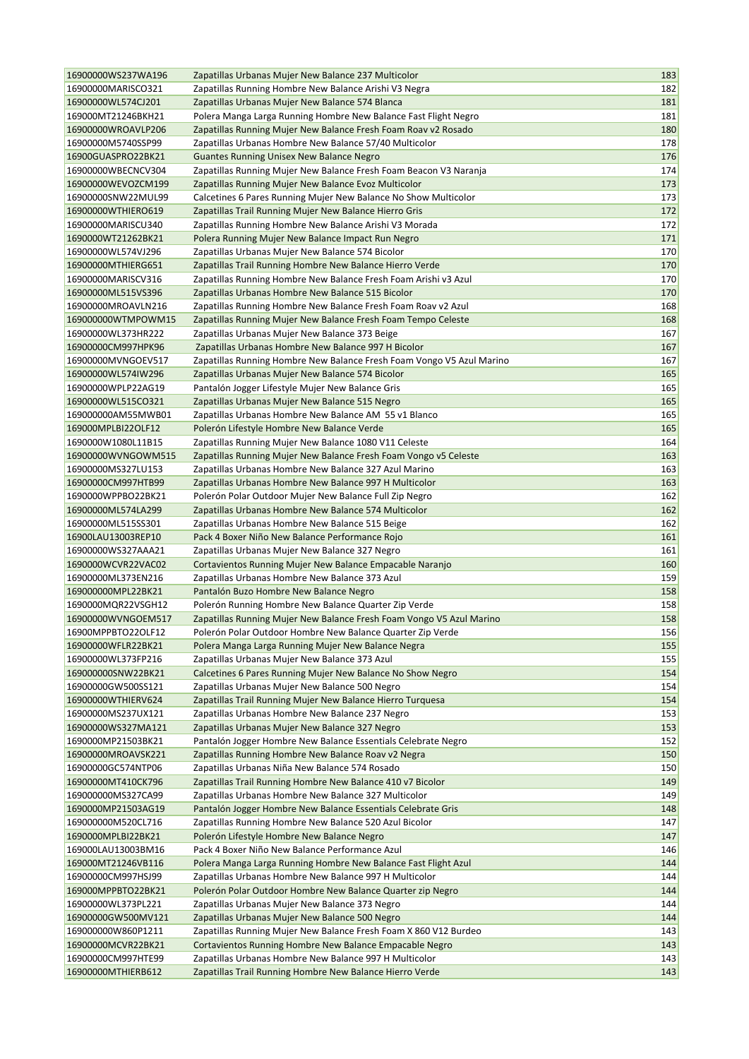| 16900000WS237WA196 | Zapatillas Urbanas Mujer New Balance 237 Multicolor                   | 183        |
|--------------------|-----------------------------------------------------------------------|------------|
| 16900000MARISCO321 | Zapatillas Running Hombre New Balance Arishi V3 Negra                 | 182        |
| 16900000WL574CJ201 | Zapatillas Urbanas Mujer New Balance 574 Blanca                       | 181        |
| 169000MT21246BKH21 | Polera Manga Larga Running Hombre New Balance Fast Flight Negro       | 181        |
| 16900000WROAVLP206 | Zapatillas Running Mujer New Balance Fresh Foam Roav v2 Rosado        | 180        |
| 16900000M5740SSP99 | Zapatillas Urbanas Hombre New Balance 57/40 Multicolor                | 178        |
| 16900GUASPRO22BK21 | <b>Guantes Running Unisex New Balance Negro</b>                       | 176        |
| 16900000WBECNCV304 | Zapatillas Running Mujer New Balance Fresh Foam Beacon V3 Naranja     | 174        |
| 16900000WEVOZCM199 | Zapatillas Running Mujer New Balance Evoz Multicolor                  | 173        |
| 16900000SNW22MUL99 | Calcetines 6 Pares Running Mujer New Balance No Show Multicolor       | 173        |
| 16900000WTHIERO619 | Zapatillas Trail Running Mujer New Balance Hierro Gris                | 172        |
| 16900000MARISCU340 | Zapatillas Running Hombre New Balance Arishi V3 Morada                | 172        |
| 1690000WT21262BK21 | Polera Running Mujer New Balance Impact Run Negro                     | 171        |
| 16900000WL574VJ296 | Zapatillas Urbanas Mujer New Balance 574 Bicolor                      | 170        |
| 16900000MTHIERG651 | Zapatillas Trail Running Hombre New Balance Hierro Verde              | 170        |
| 16900000MARISCV316 | Zapatillas Running Hombre New Balance Fresh Foam Arishi v3 Azul       | 170        |
| 16900000ML515VS396 | Zapatillas Urbanas Hombre New Balance 515 Bicolor                     | 170        |
| 16900000MROAVLN216 | Zapatillas Running Hombre New Balance Fresh Foam Roav v2 Azul         | 168        |
| 169000000WTMPOWM15 | Zapatillas Running Mujer New Balance Fresh Foam Tempo Celeste         | 168        |
| 16900000WL373HR222 | Zapatillas Urbanas Mujer New Balance 373 Beige                        | 167        |
| 16900000CM997HPK96 | Zapatillas Urbanas Hombre New Balance 997 H Bicolor                   | 167        |
| 16900000MVNGOEV517 | Zapatillas Running Hombre New Balance Fresh Foam Vongo V5 Azul Marino | 167        |
| 16900000WL574IW296 | Zapatillas Urbanas Mujer New Balance 574 Bicolor                      | 165        |
| 16900000WPLP22AG19 | Pantalón Jogger Lifestyle Mujer New Balance Gris                      | 165        |
| 16900000WL515CO321 | Zapatillas Urbanas Mujer New Balance 515 Negro                        | 165        |
| 169000000AM55MWB01 | Zapatillas Urbanas Hombre New Balance AM 55 v1 Blanco                 | 165        |
| 169000MPLBI22OLF12 | Polerón Lifestyle Hombre New Balance Verde                            | 165        |
| 1690000W1080L11B15 | Zapatillas Running Mujer New Balance 1080 V11 Celeste                 | 164        |
| 16900000WVNGOWM515 | Zapatillas Running Mujer New Balance Fresh Foam Vongo v5 Celeste      | 163        |
| 16900000MS327LU153 | Zapatillas Urbanas Hombre New Balance 327 Azul Marino                 | 163        |
| 16900000CM997HTB99 |                                                                       | 163        |
|                    | Zapatillas Urbanas Hombre New Balance 997 H Multicolor                |            |
| 1690000WPPBO22BK21 | Polerón Polar Outdoor Mujer New Balance Full Zip Negro                | 162        |
| 16900000ML574LA299 | Zapatillas Urbanas Hombre New Balance 574 Multicolor                  | 162        |
| 16900000ML515SS301 | Zapatillas Urbanas Hombre New Balance 515 Beige                       | 162        |
| 16900LAU13003REP10 | Pack 4 Boxer Niño New Balance Performance Rojo                        | 161<br>161 |
| 16900000WS327AAA21 | Zapatillas Urbanas Mujer New Balance 327 Negro                        |            |
| 1690000WCVR22VAC02 | Cortavientos Running Mujer New Balance Empacable Naranjo              | 160        |
| 16900000ML373EN216 | Zapatillas Urbanas Hombre New Balance 373 Azul                        | 159        |
| 169000000MPL22BK21 | Pantalón Buzo Hombre New Balance Negro                                | 158        |
| 1690000MQR22VSGH12 | Polerón Running Hombre New Balance Quarter Zip Verde                  | 158        |
| 16900000WVNGOEM517 | Zapatillas Running Mujer New Balance Fresh Foam Vongo V5 Azul Marino  | 158<br>156 |
| 16900MPPBTO22OLF12 | Polerón Polar Outdoor Hombre New Balance Quarter Zip Verde            |            |
| 16900000WFLR22BK21 | Polera Manga Larga Running Mujer New Balance Negra                    | 155        |
| 16900000WL373FP216 | Zapatillas Urbanas Mujer New Balance 373 Azul                         | 155        |
| 169000000SNW22BK21 | Calcetines 6 Pares Running Mujer New Balance No Show Negro            | 154        |
| 16900000GW500SS121 | Zapatillas Urbanas Mujer New Balance 500 Negro                        | 154        |
| 16900000WTHIERV624 | Zapatillas Trail Running Mujer New Balance Hierro Turquesa            | 154        |
| 16900000MS237UX121 | Zapatillas Urbanas Hombre New Balance 237 Negro                       | 153        |
| 16900000WS327MA121 | Zapatillas Urbanas Mujer New Balance 327 Negro                        | 153        |
| 1690000MP21503BK21 | Pantalón Jogger Hombre New Balance Essentials Celebrate Negro         | 152        |
| 16900000MROAVSK221 | Zapatillas Running Hombre New Balance Roav v2 Negra                   | 150        |
| 16900000GC574NTP06 | Zapatillas Urbanas Niña New Balance 574 Rosado                        | 150        |
| 16900000MT410CK796 | Zapatillas Trail Running Hombre New Balance 410 v7 Bicolor            | 149        |
| 169000000MS327CA99 | Zapatillas Urbanas Hombre New Balance 327 Multicolor                  | 149        |
| 1690000MP21503AG19 | Pantalón Jogger Hombre New Balance Essentials Celebrate Gris          | 148        |
| 169000000M520CL716 | Zapatillas Running Hombre New Balance 520 Azul Bicolor                | 147        |
| 1690000MPLBI22BK21 | Polerón Lifestyle Hombre New Balance Negro                            | 147        |
| 169000LAU13003BM16 | Pack 4 Boxer Niño New Balance Performance Azul                        | 146        |
| 169000MT21246VB116 | Polera Manga Larga Running Hombre New Balance Fast Flight Azul        | 144        |
| 16900000CM997HSJ99 | Zapatillas Urbanas Hombre New Balance 997 H Multicolor                | 144        |
| 169000MPPBTO22BK21 | Polerón Polar Outdoor Hombre New Balance Quarter zip Negro            | 144        |
| 16900000WL373PL221 | Zapatillas Urbanas Mujer New Balance 373 Negro                        | 144        |
| 16900000GW500MV121 | Zapatillas Urbanas Mujer New Balance 500 Negro                        | 144        |
| 169000000W860P1211 | Zapatillas Running Mujer New Balance Fresh Foam X 860 V12 Burdeo      | 143        |
| 16900000MCVR22BK21 | Cortavientos Running Hombre New Balance Empacable Negro               | 143        |
| 16900000CM997HTE99 | Zapatillas Urbanas Hombre New Balance 997 H Multicolor                | 143        |
| 16900000MTHIERB612 | Zapatillas Trail Running Hombre New Balance Hierro Verde              | 143        |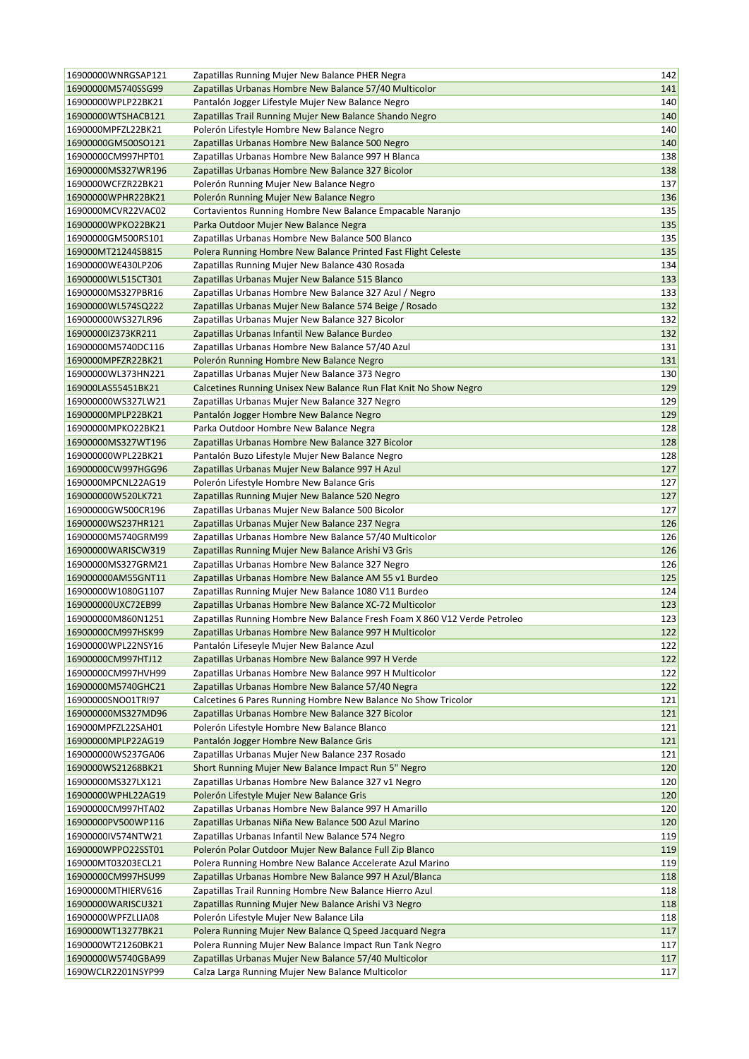| 16900000WNRGSAP121                       | Zapatillas Running Mujer New Balance PHER Negra                           | 142        |
|------------------------------------------|---------------------------------------------------------------------------|------------|
| 16900000M5740SSG99                       | Zapatillas Urbanas Hombre New Balance 57/40 Multicolor                    | 141        |
| 16900000WPLP22BK21                       | Pantalón Jogger Lifestyle Mujer New Balance Negro                         | 140        |
| 16900000WTSHACB121                       | Zapatillas Trail Running Mujer New Balance Shando Negro                   | 140        |
| 1690000MPFZL22BK21                       | Polerón Lifestyle Hombre New Balance Negro                                | 140        |
| 16900000GM500SO121                       | Zapatillas Urbanas Hombre New Balance 500 Negro                           | 140        |
| 16900000CM997HPT01                       | Zapatillas Urbanas Hombre New Balance 997 H Blanca                        | 138        |
| 16900000MS327WR196                       | Zapatillas Urbanas Hombre New Balance 327 Bicolor                         | 138        |
| 1690000WCFZR22BK21                       | Polerón Running Mujer New Balance Negro                                   | 137        |
| 16900000WPHR22BK21                       | Polerón Running Mujer New Balance Negro                                   | 136        |
| 1690000MCVR22VAC02                       | Cortavientos Running Hombre New Balance Empacable Naranjo                 | 135        |
| 16900000WPKO22BK21                       | Parka Outdoor Mujer New Balance Negra                                     | 135        |
| 16900000GM500RS101                       | Zapatillas Urbanas Hombre New Balance 500 Blanco                          | 135        |
| 169000MT21244SB815                       | Polera Running Hombre New Balance Printed Fast Flight Celeste             | 135        |
| 16900000WE430LP206                       | Zapatillas Running Mujer New Balance 430 Rosada                           | 134        |
| 16900000WL515CT301                       | Zapatillas Urbanas Mujer New Balance 515 Blanco                           | 133        |
| 16900000MS327PBR16                       | Zapatillas Urbanas Hombre New Balance 327 Azul / Negro                    | 133        |
| 16900000WL574SQ222                       | Zapatillas Urbanas Mujer New Balance 574 Beige / Rosado                   | 132        |
| 169000000WS327LR96                       | Zapatillas Urbanas Mujer New Balance 327 Bicolor                          | 132        |
| 16900000lZ373KR211                       | Zapatillas Urbanas Infantil New Balance Burdeo                            | 132        |
| 16900000M5740DC116                       | Zapatillas Urbanas Hombre New Balance 57/40 Azul                          | 131        |
| 1690000MPFZR22BK21                       | Polerón Running Hombre New Balance Negro                                  | 131        |
| 16900000WL373HN221                       | Zapatillas Urbanas Mujer New Balance 373 Negro                            | 130        |
| 169000LAS55451BK21                       | Calcetines Running Unisex New Balance Run Flat Knit No Show Negro         | 129        |
| 169000000WS327LW21                       | Zapatillas Urbanas Mujer New Balance 327 Negro                            | 129        |
| 16900000MPLP22BK21                       | Pantalón Jogger Hombre New Balance Negro                                  | 129        |
| 16900000MPKO22BK21                       | Parka Outdoor Hombre New Balance Negra                                    | 128        |
| 16900000MS327WT196                       | Zapatillas Urbanas Hombre New Balance 327 Bicolor                         | 128        |
| 169000000WPL22BK21                       | Pantalón Buzo Lifestyle Mujer New Balance Negro                           | 128        |
| 16900000CW997HGG96                       | Zapatillas Urbanas Mujer New Balance 997 H Azul                           | 127        |
| 1690000MPCNL22AG19                       | Polerón Lifestyle Hombre New Balance Gris                                 | 127        |
| 169000000W520LK721                       | Zapatillas Running Mujer New Balance 520 Negro                            | 127        |
| 16900000GW500CR196                       | Zapatillas Urbanas Mujer New Balance 500 Bicolor                          | 127        |
| 16900000WS237HR121                       | Zapatillas Urbanas Mujer New Balance 237 Negra                            | 126        |
| 16900000M5740GRM99                       | Zapatillas Urbanas Hombre New Balance 57/40 Multicolor                    | 126        |
| 16900000WARISCW319                       | Zapatillas Running Mujer New Balance Arishi V3 Gris                       | 126        |
| 16900000MS327GRM21                       | Zapatillas Urbanas Hombre New Balance 327 Negro                           | 126        |
| 169000000AM55GNT11                       | Zapatillas Urbanas Hombre New Balance AM 55 v1 Burdeo                     | 125        |
| 16900000W1080G1107                       | Zapatillas Running Mujer New Balance 1080 V11 Burdeo                      | 124        |
| 169000000UXC72EB99                       | Zapatillas Urbanas Hombre New Balance XC-72 Multicolor                    | 123        |
| 169000000M860N1251                       | Zapatillas Running Hombre New Balance Fresh Foam X 860 V12 Verde Petroleo | 123        |
| 16900000CM997HSK99                       | Zapatillas Urbanas Hombre New Balance 997 H Multicolor                    | 122        |
| 16900000WPL22NSY16                       | Pantalón Lifeseyle Mujer New Balance Azul                                 | 122        |
| 16900000CM997HTJ12                       | Zapatillas Urbanas Hombre New Balance 997 H Verde                         | 122        |
| 16900000CM997HVH99                       | Zapatillas Urbanas Hombre New Balance 997 H Multicolor                    | 122        |
| 16900000M5740GHC21                       | Zapatillas Urbanas Hombre New Balance 57/40 Negra                         | 122        |
| 16900000SNO01TRI97                       | Calcetines 6 Pares Running Hombre New Balance No Show Tricolor            | 121        |
| 169000000MS327MD96                       | Zapatillas Urbanas Hombre New Balance 327 Bicolor                         | 121        |
| 169000MPFZL22SAH01                       | Polerón Lifestyle Hombre New Balance Blanco                               | 121        |
| 16900000MPLP22AG19                       | Pantalón Jogger Hombre New Balance Gris                                   | 121        |
| 169000000WS237GA06                       | Zapatillas Urbanas Mujer New Balance 237 Rosado                           | 121        |
| 1690000WS21268BK21                       | Short Running Mujer New Balance Impact Run 5" Negro                       | 120        |
| 16900000MS327LX121                       | Zapatillas Urbanas Hombre New Balance 327 v1 Negro                        | 120        |
| 16900000WPHL22AG19                       | Polerón Lifestyle Mujer New Balance Gris                                  | 120        |
| 16900000CM997HTA02                       | Zapatillas Urbanas Hombre New Balance 997 H Amarillo                      | 120        |
| 16900000PV500WP116                       | Zapatillas Urbanas Niña New Balance 500 Azul Marino                       | 120        |
| 16900000IV574NTW21                       | Zapatillas Urbanas Infantil New Balance 574 Negro                         | 119        |
| 1690000WPPO22SST01                       | Polerón Polar Outdoor Mujer New Balance Full Zip Blanco                   | 119        |
| 169000MT03203ECL21                       | Polera Running Hombre New Balance Accelerate Azul Marino                  | 119        |
| 16900000CM997HSU99                       | Zapatillas Urbanas Hombre New Balance 997 H Azul/Blanca                   | 118        |
| 16900000MTHIERV616                       | Zapatillas Trail Running Hombre New Balance Hierro Azul                   | 118        |
| 16900000WARISCU321                       | Zapatillas Running Mujer New Balance Arishi V3 Negro                      | 118        |
| 16900000WPFZLLIA08                       | Polerón Lifestyle Mujer New Balance Lila                                  | 118        |
| 1690000WT13277BK21                       | Polera Running Mujer New Balance Q Speed Jacquard Negra                   | 117        |
| 1690000WT21260BK21<br>16900000W5740GBA99 | Polera Running Mujer New Balance Impact Run Tank Negro                    | 117<br>117 |
| 1690WCLR2201NSYP99                       | Zapatillas Urbanas Mujer New Balance 57/40 Multicolor                     | 117        |
|                                          | Calza Larga Running Mujer New Balance Multicolor                          |            |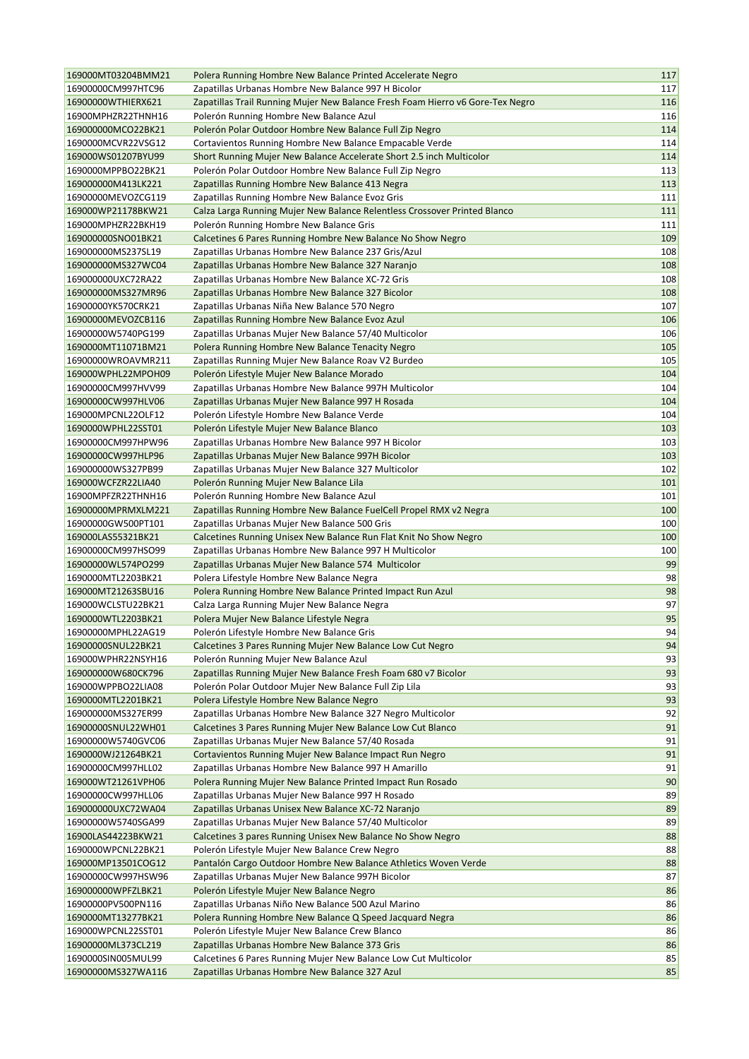| 169000MT03204BMM21                       | Polera Running Hombre New Balance Printed Accelerate Negro                                                       | 117      |
|------------------------------------------|------------------------------------------------------------------------------------------------------------------|----------|
| 16900000CM997HTC96                       | Zapatillas Urbanas Hombre New Balance 997 H Bicolor                                                              | 117      |
| 16900000WTHIERX621                       | Zapatillas Trail Running Mujer New Balance Fresh Foam Hierro v6 Gore-Tex Negro                                   | 116      |
| 16900MPHZR22THNH16                       | Polerón Running Hombre New Balance Azul                                                                          | 116      |
| 169000000MCO22BK21                       | Polerón Polar Outdoor Hombre New Balance Full Zip Negro                                                          | 114      |
| 1690000MCVR22VSG12                       | Cortavientos Running Hombre New Balance Empacable Verde                                                          | 114      |
| 169000WS01207BYU99                       | Short Running Mujer New Balance Accelerate Short 2.5 inch Multicolor                                             | 114      |
| 1690000MPPBO22BK21                       | Polerón Polar Outdoor Hombre New Balance Full Zip Negro                                                          | 113      |
| 169000000M413LK221                       | Zapatillas Running Hombre New Balance 413 Negra                                                                  | 113      |
| 16900000MEVOZCG119                       | Zapatillas Running Hombre New Balance Evoz Gris                                                                  | 111      |
| 169000WP21178BKW21                       | Calza Larga Running Mujer New Balance Relentless Crossover Printed Blanco                                        | 111      |
| 169000MPHZR22BKH19                       | Polerón Running Hombre New Balance Gris                                                                          | 111      |
| 169000000SNO01BK21                       | Calcetines 6 Pares Running Hombre New Balance No Show Negro                                                      | 109      |
| 169000000MS237SL19                       | Zapatillas Urbanas Hombre New Balance 237 Gris/Azul                                                              | 108      |
| 169000000MS327WC04                       | Zapatillas Urbanas Hombre New Balance 327 Naranjo                                                                | 108      |
| 169000000UXC72RA22                       | Zapatillas Urbanas Hombre New Balance XC-72 Gris                                                                 | 108      |
| 169000000MS327MR96                       | Zapatillas Urbanas Hombre New Balance 327 Bicolor                                                                | 108      |
| 16900000YK570CRK21                       | Zapatillas Urbanas Niña New Balance 570 Negro                                                                    | 107      |
| 16900000MEVOZCB116                       | Zapatillas Running Hombre New Balance Evoz Azul                                                                  | 106      |
| 16900000W5740PG199                       | Zapatillas Urbanas Mujer New Balance 57/40 Multicolor                                                            | 106      |
| 1690000MT11071BM21                       | Polera Running Hombre New Balance Tenacity Negro                                                                 | 105      |
| 16900000WROAVMR211                       | Zapatillas Running Mujer New Balance Roav V2 Burdeo                                                              | 105      |
| 169000WPHL22MPOH09                       | Polerón Lifestyle Mujer New Balance Morado                                                                       | 104      |
| 16900000CM997HVV99                       | Zapatillas Urbanas Hombre New Balance 997H Multicolor                                                            | 104      |
| 16900000CW997HLV06                       | Zapatillas Urbanas Mujer New Balance 997 H Rosada                                                                | 104      |
| 169000MPCNL22OLF12                       | Polerón Lifestyle Hombre New Balance Verde                                                                       | 104      |
| 1690000WPHL22SST01                       | Polerón Lifestyle Mujer New Balance Blanco                                                                       | 103      |
| 16900000CM997HPW96                       | Zapatillas Urbanas Hombre New Balance 997 H Bicolor                                                              | 103      |
| 16900000CW997HLP96                       | Zapatillas Urbanas Mujer New Balance 997H Bicolor                                                                | 103      |
| 169000000WS327PB99                       | Zapatillas Urbanas Mujer New Balance 327 Multicolor                                                              | 102      |
| 169000WCFZR22LIA40                       | Polerón Running Mujer New Balance Lila                                                                           | 101      |
| 16900MPFZR22THNH16                       | Polerón Running Hombre New Balance Azul                                                                          | 101      |
| 16900000MPRMXLM221                       | Zapatillas Running Hombre New Balance FuelCell Propel RMX v2 Negra                                               | 100      |
| 16900000GW500PT101                       | Zapatillas Urbanas Mujer New Balance 500 Gris                                                                    | 100      |
| 169000LAS55321BK21                       | Calcetines Running Unisex New Balance Run Flat Knit No Show Negro                                                | 100      |
| 16900000CM997HSO99                       | Zapatillas Urbanas Hombre New Balance 997 H Multicolor                                                           | 100      |
| 16900000WL574PO299                       | Zapatillas Urbanas Mujer New Balance 574 Multicolor                                                              | 99       |
| 1690000MTL2203BK21                       | Polera Lifestyle Hombre New Balance Negra                                                                        | 98       |
| 169000MT21263SBU16                       | Polera Running Hombre New Balance Printed Impact Run Azul                                                        | 98       |
| 169000WCLSTU22BK21                       | Calza Larga Running Mujer New Balance Negra                                                                      | 97       |
| 1690000WTL2203BK21                       | Polera Mujer New Balance Lifestyle Negra                                                                         | 95       |
| 16900000MPHL22AG19                       | Polerón Lifestyle Hombre New Balance Gris                                                                        | 94       |
| 16900000SNUL22BK21                       | Calcetines 3 Pares Running Mujer New Balance Low Cut Negro                                                       | 94       |
| 169000WPHR22NSYH16                       | Polerón Running Mujer New Balance Azul                                                                           | 93       |
| 169000000W680CK796                       | Zapatillas Running Mujer New Balance Fresh Foam 680 v7 Bicolor                                                   | 93       |
| 169000WPPBO22LIA08                       | Polerón Polar Outdoor Mujer New Balance Full Zip Lila                                                            | 93       |
| 1690000MTL2201BK21                       | Polera Lifestyle Hombre New Balance Negro                                                                        | 93       |
| 169000000MS327ER99                       | Zapatillas Urbanas Hombre New Balance 327 Negro Multicolor                                                       | 92       |
| 16900000SNUL22WH01<br>16900000W5740GVC06 | Calcetines 3 Pares Running Mujer New Balance Low Cut Blanco<br>Zapatillas Urbanas Mujer New Balance 57/40 Rosada | 91<br>91 |
|                                          |                                                                                                                  | 91       |
| 1690000WJ21264BK21<br>16900000CM997HLL02 | Cortavientos Running Mujer New Balance Impact Run Negro<br>Zapatillas Urbanas Hombre New Balance 997 H Amarillo  | 91       |
| 169000WT21261VPH06                       | Polera Running Mujer New Balance Printed Impact Run Rosado                                                       | 90       |
| 16900000CW997HLL06                       | Zapatillas Urbanas Mujer New Balance 997 H Rosado                                                                | 89       |
| 169000000UXC72WA04                       | Zapatillas Urbanas Unisex New Balance XC-72 Naranjo                                                              | 89       |
| 16900000W5740SGA99                       | Zapatillas Urbanas Mujer New Balance 57/40 Multicolor                                                            | 89       |
| 16900LAS44223BKW21                       | Calcetines 3 pares Running Unisex New Balance No Show Negro                                                      | 88       |
| 1690000WPCNL22BK21                       | Polerón Lifestyle Mujer New Balance Crew Negro                                                                   | 88       |
| 169000MP13501COG12                       | Pantalón Cargo Outdoor Hombre New Balance Athletics Woven Verde                                                  | 88       |
| 16900000CW997HSW96                       | Zapatillas Urbanas Mujer New Balance 997H Bicolor                                                                | 87       |
| 169000000WPFZLBK21                       | Polerón Lifestyle Mujer New Balance Negro                                                                        | 86       |
| 16900000PV500PN116                       | Zapatillas Urbanas Niño New Balance 500 Azul Marino                                                              | 86       |
| 1690000MT13277BK21                       | Polera Running Hombre New Balance Q Speed Jacquard Negra                                                         | 86       |
| 169000WPCNL22SST01                       | Polerón Lifestyle Mujer New Balance Crew Blanco                                                                  | 86       |
| 16900000ML373CL219                       | Zapatillas Urbanas Hombre New Balance 373 Gris                                                                   | 86       |
| 1690000SIN005MUL99                       | Calcetines 6 Pares Running Mujer New Balance Low Cut Multicolor                                                  | 85       |
| 16900000MS327WA116                       | Zapatillas Urbanas Hombre New Balance 327 Azul                                                                   | 85       |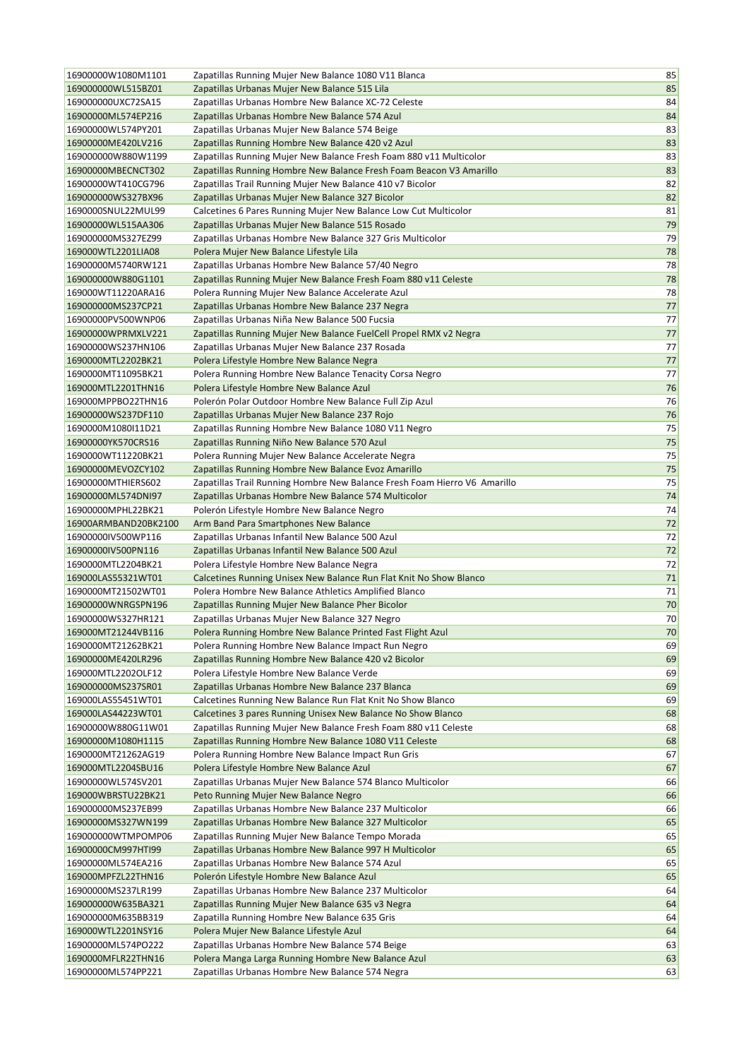| 16900000W1080M1101   | Zapatillas Running Mujer New Balance 1080 V11 Blanca                      | 85     |
|----------------------|---------------------------------------------------------------------------|--------|
| 169000000WL515BZ01   | Zapatillas Urbanas Mujer New Balance 515 Lila                             | 85     |
| 169000000UXC72SA15   | Zapatillas Urbanas Hombre New Balance XC-72 Celeste                       | 84     |
| 16900000ML574EP216   | Zapatillas Urbanas Hombre New Balance 574 Azul                            | 84     |
| 16900000WL574PY201   | Zapatillas Urbanas Mujer New Balance 574 Beige                            | 83     |
| 16900000ME420LV216   | Zapatillas Running Hombre New Balance 420 v2 Azul                         | 83     |
| 169000000W880W1199   | Zapatillas Running Mujer New Balance Fresh Foam 880 v11 Multicolor        | 83     |
| 16900000MBECNCT302   | Zapatillas Running Hombre New Balance Fresh Foam Beacon V3 Amarillo       | 83     |
| 16900000WT410CG796   | Zapatillas Trail Running Mujer New Balance 410 v7 Bicolor                 | 82     |
| 169000000WS327BX96   | Zapatillas Urbanas Mujer New Balance 327 Bicolor                          | 82     |
| 1690000SNUL22MUL99   | Calcetines 6 Pares Running Mujer New Balance Low Cut Multicolor           | 81     |
| 16900000WL515AA306   | Zapatillas Urbanas Mujer New Balance 515 Rosado                           | 79     |
| 169000000MS327EZ99   | Zapatillas Urbanas Hombre New Balance 327 Gris Multicolor                 | 79     |
| 169000WTL2201LIA08   | Polera Mujer New Balance Lifestyle Lila                                   | 78     |
| 16900000M5740RW121   | Zapatillas Urbanas Hombre New Balance 57/40 Negro                         | 78     |
| 169000000W880G1101   | Zapatillas Running Mujer New Balance Fresh Foam 880 v11 Celeste           | 78     |
| 169000WT11220ARA16   | Polera Running Mujer New Balance Accelerate Azul                          | 78     |
| 169000000MS237CP21   | Zapatillas Urbanas Hombre New Balance 237 Negra                           | 77     |
| 16900000PV500WNP06   | Zapatillas Urbanas Niña New Balance 500 Fucsia                            | 77     |
| 16900000WPRMXLV221   | Zapatillas Running Mujer New Balance FuelCell Propel RMX v2 Negra         | 77     |
| 16900000WS237HN106   | Zapatillas Urbanas Mujer New Balance 237 Rosada                           | 77     |
| 1690000MTL2202BK21   | Polera Lifestyle Hombre New Balance Negra                                 | 77     |
| 1690000MT11095BK21   | Polera Running Hombre New Balance Tenacity Corsa Negro                    | 77     |
| 169000MTL2201THN16   | Polera Lifestyle Hombre New Balance Azul                                  | 76     |
| 169000MPPBO22THN16   | Polerón Polar Outdoor Hombre New Balance Full Zip Azul                    | 76     |
| 16900000WS237DF110   | Zapatillas Urbanas Mujer New Balance 237 Rojo                             | 76     |
| 1690000M1080I11D21   | Zapatillas Running Hombre New Balance 1080 V11 Negro                      | 75     |
| 16900000YK570CRS16   | Zapatillas Running Niño New Balance 570 Azul                              | 75     |
| 1690000WT11220BK21   | Polera Running Mujer New Balance Accelerate Negra                         | 75     |
| 16900000MEVOZCY102   | Zapatillas Running Hombre New Balance Evoz Amarillo                       | 75     |
| 16900000MTHIERS602   | Zapatillas Trail Running Hombre New Balance Fresh Foam Hierro V6 Amarillo | 75     |
| 16900000ML574DNI97   | Zapatillas Urbanas Hombre New Balance 574 Multicolor                      | 74     |
| 16900000MPHL22BK21   | Polerón Lifestyle Hombre New Balance Negro                                | 74     |
| 16900ARMBAND20BK2100 | Arm Band Para Smartphones New Balance                                     | 72     |
| 16900000IV500WP116   | Zapatillas Urbanas Infantil New Balance 500 Azul                          | 72     |
| 16900000IV500PN116   | Zapatillas Urbanas Infantil New Balance 500 Azul                          | 72     |
| 1690000MTL2204BK21   | Polera Lifestyle Hombre New Balance Negra                                 | 72     |
| 169000LAS55321WT01   | Calcetines Running Unisex New Balance Run Flat Knit No Show Blanco        | 71     |
| 1690000MT21502WT01   | Polera Hombre New Balance Athletics Amplified Blanco                      | 71     |
| 16900000WNRGSPN196   | Zapatillas Running Mujer New Balance Pher Bicolor                         | 70     |
| 16900000WS327HR121   | Zapatillas Urbanas Mujer New Balance 327 Negro                            | 70     |
| 169000MT21244VB116   | Polera Running Hombre New Balance Printed Fast Flight Azul                | $70\,$ |
| 1690000MT21262BK21   | Polera Running Hombre New Balance Impact Run Negro                        | 69     |
| 16900000ME420LR296   | Zapatillas Running Hombre New Balance 420 v2 Bicolor                      | 69     |
| 169000MTL2202OLF12   | Polera Lifestyle Hombre New Balance Verde                                 | 69     |
| 169000000MS237SR01   | Zapatillas Urbanas Hombre New Balance 237 Blanca                          | 69     |
| 169000LAS55451WT01   | Calcetines Running New Balance Run Flat Knit No Show Blanco               | 69     |
| 169000LAS44223WT01   | Calcetines 3 pares Running Unisex New Balance No Show Blanco              | 68     |
| 16900000W880G11W01   | Zapatillas Running Mujer New Balance Fresh Foam 880 v11 Celeste           | 68     |
| 16900000M1080H1115   | Zapatillas Running Hombre New Balance 1080 V11 Celeste                    | 68     |
| 1690000MT21262AG19   | Polera Running Hombre New Balance Impact Run Gris                         | 67     |
| 169000MTL2204SBU16   | Polera Lifestyle Hombre New Balance Azul                                  | 67     |
| 16900000WL574SV201   | Zapatillas Urbanas Mujer New Balance 574 Blanco Multicolor                | 66     |
| 169000WBRSTU22BK21   | Peto Running Mujer New Balance Negro                                      | 66     |
| 169000000MS237EB99   | Zapatillas Urbanas Hombre New Balance 237 Multicolor                      | 66     |
| 16900000MS327WN199   | Zapatillas Urbanas Hombre New Balance 327 Multicolor                      | 65     |
| 169000000WTMPOMP06   | Zapatillas Running Mujer New Balance Tempo Morada                         | 65     |
| 16900000CM997HTI99   | Zapatillas Urbanas Hombre New Balance 997 H Multicolor                    | 65     |
| 16900000ML574EA216   | Zapatillas Urbanas Hombre New Balance 574 Azul                            | 65     |
| 169000MPFZL22THN16   | Polerón Lifestyle Hombre New Balance Azul                                 | 65     |
| 16900000MS237LR199   | Zapatillas Urbanas Hombre New Balance 237 Multicolor                      | 64     |
| 169000000W635BA321   | Zapatillas Running Mujer New Balance 635 v3 Negra                         | 64     |
| 169000000M635BB319   | Zapatilla Running Hombre New Balance 635 Gris                             | 64     |
| 169000WTL2201NSY16   | Polera Mujer New Balance Lifestyle Azul                                   | 64     |
| 16900000ML574PO222   | Zapatillas Urbanas Hombre New Balance 574 Beige                           | 63     |
| 1690000MFLR22THN16   | Polera Manga Larga Running Hombre New Balance Azul                        | 63     |
| 16900000ML574PP221   | Zapatillas Urbanas Hombre New Balance 574 Negra                           | 63     |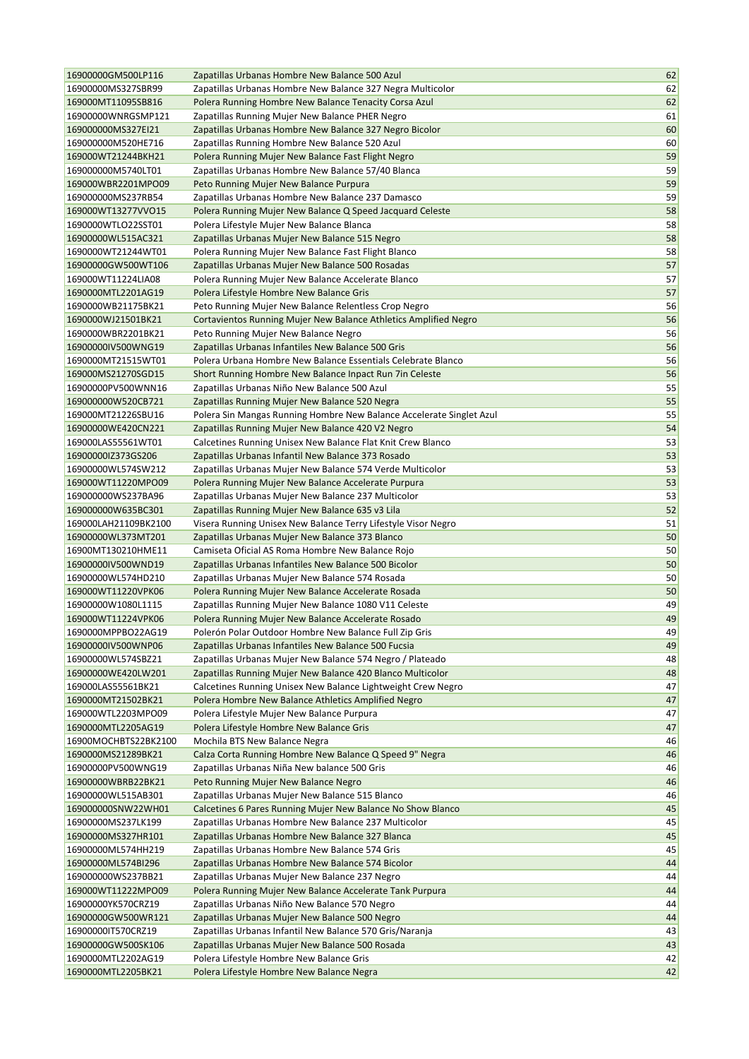| 16900000GM500LP116   | Zapatillas Urbanas Hombre New Balance 500 Azul                       | 62       |
|----------------------|----------------------------------------------------------------------|----------|
| 16900000MS327SBR99   | Zapatillas Urbanas Hombre New Balance 327 Negra Multicolor           | 62       |
| 169000MT11095SB816   | Polera Running Hombre New Balance Tenacity Corsa Azul                | 62       |
| 16900000WNRGSMP121   | Zapatillas Running Mujer New Balance PHER Negro                      | 61       |
| 169000000MS327EI21   | Zapatillas Urbanas Hombre New Balance 327 Negro Bicolor              | 60       |
| 169000000M520HE716   | Zapatillas Running Hombre New Balance 520 Azul                       | 60       |
| 169000WT21244BKH21   | Polera Running Mujer New Balance Fast Flight Negro                   | 59       |
| 169000000M5740LT01   | Zapatillas Urbanas Hombre New Balance 57/40 Blanca                   | 59       |
| 169000WBR2201MPO09   | Peto Running Mujer New Balance Purpura                               | 59       |
| 169000000MS237RB54   | Zapatillas Urbanas Hombre New Balance 237 Damasco                    | 59       |
| 169000WT13277VVO15   | Polera Running Mujer New Balance Q Speed Jacquard Celeste            | 58       |
| 1690000WTLO22SST01   | Polera Lifestyle Mujer New Balance Blanca                            | 58       |
| 16900000WL515AC321   | Zapatillas Urbanas Mujer New Balance 515 Negro                       | 58       |
| 1690000WT21244WT01   | Polera Running Mujer New Balance Fast Flight Blanco                  | 58       |
| 16900000GW500WT106   | Zapatillas Urbanas Mujer New Balance 500 Rosadas                     | 57       |
| 169000WT11224LIA08   | Polera Running Mujer New Balance Accelerate Blanco                   | 57       |
| 1690000MTL2201AG19   | Polera Lifestyle Hombre New Balance Gris                             | 57       |
| 1690000WB21175BK21   | Peto Running Mujer New Balance Relentless Crop Negro                 | 56       |
| 1690000WJ21501BK21   | Cortavientos Running Mujer New Balance Athletics Amplified Negro     | 56       |
| 1690000WBR2201BK21   | Peto Running Mujer New Balance Negro                                 | 56       |
| 16900000IV500WNG19   | Zapatillas Urbanas Infantiles New Balance 500 Gris                   | 56       |
| 1690000MT21515WT01   | Polera Urbana Hombre New Balance Essentials Celebrate Blanco         | 56       |
| 169000MS21270SGD15   | Short Running Hombre New Balance Inpact Run 7in Celeste              | 56       |
| 16900000PV500WNN16   | Zapatillas Urbanas Niño New Balance 500 Azul                         | 55       |
| 169000000W520CB721   | Zapatillas Running Mujer New Balance 520 Negra                       | 55       |
| 169000MT21226SBU16   | Polera Sin Mangas Running Hombre New Balance Accelerate Singlet Azul | 55       |
| 16900000WE420CN221   |                                                                      | 54       |
|                      | Zapatillas Running Mujer New Balance 420 V2 Negro                    |          |
| 169000LAS55561WT01   | Calcetines Running Unisex New Balance Flat Knit Crew Blanco          | 53       |
| 16900000lZ373GS206   | Zapatillas Urbanas Infantil New Balance 373 Rosado                   | 53       |
| 16900000WL574SW212   | Zapatillas Urbanas Mujer New Balance 574 Verde Multicolor            | 53<br>53 |
| 169000WT11220MPO09   | Polera Running Mujer New Balance Accelerate Purpura                  |          |
| 169000000WS237BA96   | Zapatillas Urbanas Mujer New Balance 237 Multicolor                  | 53       |
| 169000000W635BC301   | Zapatillas Running Mujer New Balance 635 v3 Lila                     | 52       |
| 169000LAH21109BK2100 | Visera Running Unisex New Balance Terry Lifestyle Visor Negro        | 51       |
| 16900000WL373MT201   | Zapatillas Urbanas Mujer New Balance 373 Blanco                      | 50       |
| 16900MT130210HME11   | Camiseta Oficial AS Roma Hombre New Balance Rojo                     | 50       |
| 16900000IV500WND19   | Zapatillas Urbanas Infantiles New Balance 500 Bicolor                | 50       |
| 16900000WL574HD210   | Zapatillas Urbanas Mujer New Balance 574 Rosada                      | 50       |
| 169000WT11220VPK06   | Polera Running Mujer New Balance Accelerate Rosada                   | 50       |
| 16900000W1080L1115   | Zapatillas Running Mujer New Balance 1080 V11 Celeste                | 49       |
| 169000WT11224VPK06   | Polera Running Mujer New Balance Accelerate Rosado                   | 49       |
| 1690000MPPBO22AG19   | Polerón Polar Outdoor Hombre New Balance Full Zip Gris               | 49       |
| 16900000IV500WNP06   | Zapatillas Urbanas Infantiles New Balance 500 Fucsia                 | 49       |
| 16900000WL574SBZ21   | Zapatillas Urbanas Mujer New Balance 574 Negro / Plateado            | 48       |
| 16900000WE420LW201   | Zapatillas Running Mujer New Balance 420 Blanco Multicolor           | 48       |
| 169000LAS55561BK21   | Calcetines Running Unisex New Balance Lightweight Crew Negro         | 47       |
| 1690000MT21502BK21   | Polera Hombre New Balance Athletics Amplified Negro                  | 47       |
| 169000WTL2203MPO09   | Polera Lifestyle Mujer New Balance Purpura                           | 47       |
| 1690000MTL2205AG19   | Polera Lifestyle Hombre New Balance Gris                             | 47       |
| 16900MOCHBTS22BK2100 | Mochila BTS New Balance Negra                                        | 46       |
| 1690000MS21289BK21   | Calza Corta Running Hombre New Balance Q Speed 9" Negra              | 46       |
| 16900000PV500WNG19   | Zapatillas Urbanas Niña New balance 500 Gris                         | 46       |
| 16900000WBRB22BK21   | Peto Running Mujer New Balance Negro                                 | 46       |
| 16900000WL515AB301   | Zapatillas Urbanas Mujer New Balance 515 Blanco                      | 46       |
| 169000000SNW22WH01   | Calcetines 6 Pares Running Mujer New Balance No Show Blanco          | 45       |
| 16900000MS237LK199   | Zapatillas Urbanas Hombre New Balance 237 Multicolor                 | 45       |
| 16900000MS327HR101   | Zapatillas Urbanas Hombre New Balance 327 Blanca                     | 45       |
| 16900000ML574HH219   | Zapatillas Urbanas Hombre New Balance 574 Gris                       | 45       |
| 16900000ML574BI296   | Zapatillas Urbanas Hombre New Balance 574 Bicolor                    | 44       |
| 169000000WS237BB21   | Zapatillas Urbanas Mujer New Balance 237 Negro                       | 44       |
| 169000WT11222MPO09   | Polera Running Mujer New Balance Accelerate Tank Purpura             | 44       |
| 16900000YK570CRZ19   | Zapatillas Urbanas Niño New Balance 570 Negro                        | 44       |
| 16900000GW500WR121   | Zapatillas Urbanas Mujer New Balance 500 Negro                       | 44       |
| 169000001T570CRZ19   | Zapatillas Urbanas Infantil New Balance 570 Gris/Naranja             | 43       |
| 16900000GW500SK106   | Zapatillas Urbanas Mujer New Balance 500 Rosada                      | 43       |
| 1690000MTL2202AG19   | Polera Lifestyle Hombre New Balance Gris                             | 42       |
| 1690000MTL2205BK21   | Polera Lifestyle Hombre New Balance Negra                            | 42       |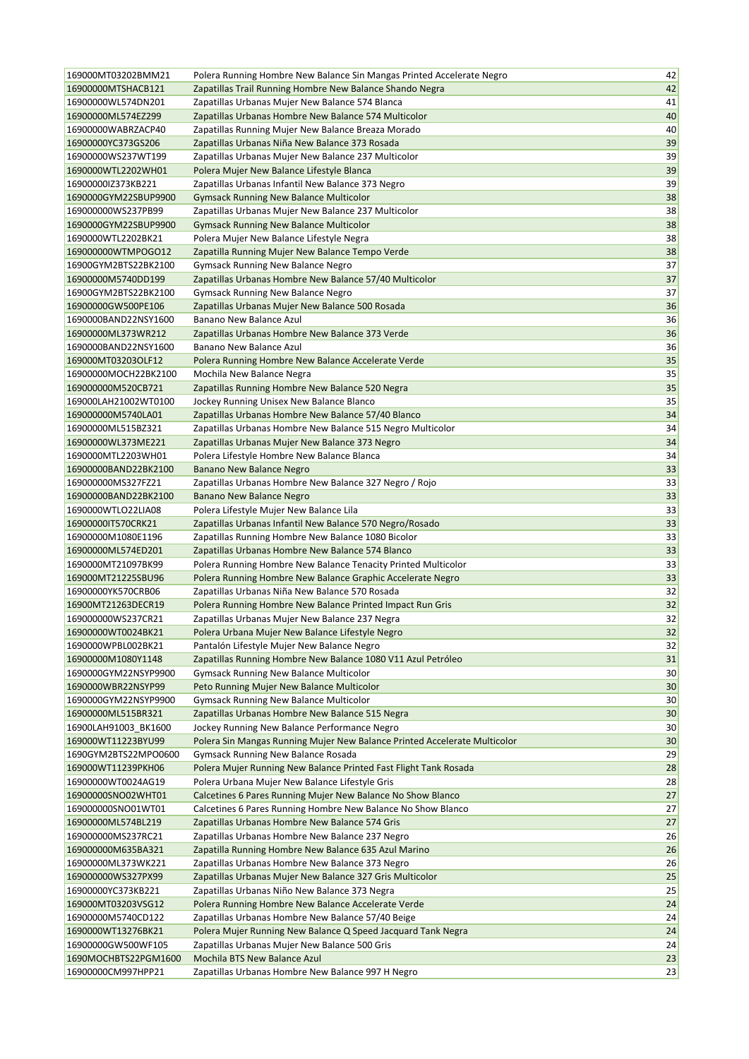| 169000MT03202BMM21                         | Polera Running Hombre New Balance Sin Mangas Printed Accelerate Negro     | 42       |
|--------------------------------------------|---------------------------------------------------------------------------|----------|
| 16900000MTSHACB121                         | Zapatillas Trail Running Hombre New Balance Shando Negra                  | 42       |
| 16900000WL574DN201                         | Zapatillas Urbanas Mujer New Balance 574 Blanca                           | 41       |
| 16900000ML574EZ299                         | Zapatillas Urbanas Hombre New Balance 574 Multicolor                      | 40       |
| 16900000WABRZACP40                         | Zapatillas Running Mujer New Balance Breaza Morado                        | 40       |
| 16900000YC373GS206                         | Zapatillas Urbanas Niña New Balance 373 Rosada                            | 39       |
| 16900000WS237WT199                         | Zapatillas Urbanas Mujer New Balance 237 Multicolor                       | 39       |
| 1690000WTL2202WH01                         | Polera Mujer New Balance Lifestyle Blanca                                 | 39       |
| 16900000lZ373KB221                         | Zapatillas Urbanas Infantil New Balance 373 Negro                         | 39       |
| 1690000GYM22SBUP9900                       | <b>Gymsack Running New Balance Multicolor</b>                             | 38       |
| 169000000WS237PB99                         | Zapatillas Urbanas Mujer New Balance 237 Multicolor                       | 38       |
| 1690000GYM22SBUP9900                       | <b>Gymsack Running New Balance Multicolor</b>                             | 38       |
| 1690000WTL2202BK21                         | Polera Mujer New Balance Lifestyle Negra                                  | 38       |
| 169000000WTMPOGO12                         | Zapatilla Running Mujer New Balance Tempo Verde                           | 38       |
| 16900GYM2BTS22BK2100                       | <b>Gymsack Running New Balance Negro</b>                                  | 37       |
| 16900000M5740DD199                         | Zapatillas Urbanas Hombre New Balance 57/40 Multicolor                    | 37       |
| 16900GYM2BTS22BK2100                       | <b>Gymsack Running New Balance Negro</b>                                  | 37       |
| 16900000GW500PE106                         | Zapatillas Urbanas Mujer New Balance 500 Rosada                           | 36       |
| 1690000BAND22NSY1600                       | Banano New Balance Azul                                                   | 36       |
| 16900000ML373WR212                         | Zapatillas Urbanas Hombre New Balance 373 Verde                           | 36       |
| 1690000BAND22NSY1600                       | Banano New Balance Azul                                                   | 36       |
| 169000MT03203OLF12                         | Polera Running Hombre New Balance Accelerate Verde                        | 35       |
| 16900000MOCH22BK2100                       | Mochila New Balance Negra                                                 | 35       |
| 169000000M520CB721                         | Zapatillas Running Hombre New Balance 520 Negra                           | 35       |
| 169000LAH21002WT0100                       | Jockey Running Unisex New Balance Blanco                                  | 35       |
| 169000000M5740LA01                         | Zapatillas Urbanas Hombre New Balance 57/40 Blanco                        | 34       |
| 16900000ML515BZ321                         | Zapatillas Urbanas Hombre New Balance 515 Negro Multicolor                | 34       |
| 16900000WL373ME221                         | Zapatillas Urbanas Mujer New Balance 373 Negro                            | 34       |
| 1690000MTL2203WH01                         | Polera Lifestyle Hombre New Balance Blanca                                | 34       |
| 16900000BAND22BK2100                       | Banano New Balance Negro                                                  | 33       |
| 169000000MS327FZ21                         | Zapatillas Urbanas Hombre New Balance 327 Negro / Rojo                    | 33       |
| 16900000BAND22BK2100                       | Banano New Balance Negro                                                  | 33       |
| 1690000WTLO22LIA08                         | Polera Lifestyle Mujer New Balance Lila                                   | 33       |
| 169000001T570CRK21                         | Zapatillas Urbanas Infantil New Balance 570 Negro/Rosado                  | 33       |
| 16900000M1080E1196                         | Zapatillas Running Hombre New Balance 1080 Bicolor                        | 33       |
| 16900000ML574ED201                         | Zapatillas Urbanas Hombre New Balance 574 Blanco                          | 33       |
| 1690000MT21097BK99                         | Polera Running Hombre New Balance Tenacity Printed Multicolor             | 33       |
| 169000MT21225SBU96                         | Polera Running Hombre New Balance Graphic Accelerate Negro                | 33       |
| 16900000YK570CRB06                         | Zapatillas Urbanas Niña New Balance 570 Rosada                            | 32       |
| 16900MT21263DECR19                         | Polera Running Hombre New Balance Printed Impact Run Gris                 | 32       |
| 169000000WS237CR21                         | Zapatillas Urbanas Mujer New Balance 237 Negra                            | 32       |
| 16900000WT0024BK21                         | Polera Urbana Mujer New Balance Lifestyle Negro                           | 32       |
| 1690000WPBL002BK21                         | Pantalón Lifestyle Mujer New Balance Negro                                | 32       |
| 16900000M1080Y1148                         | Zapatillas Running Hombre New Balance 1080 V11 Azul Petróleo              | 31       |
|                                            |                                                                           |          |
| 1690000GYM22NSYP9900                       | Gymsack Running New Balance Multicolor                                    | 30<br>30 |
| 1690000WBR22NSYP99                         | Peto Running Mujer New Balance Multicolor                                 |          |
| 1690000GYM22NSYP9900<br>16900000ML515BR321 | <b>Gymsack Running New Balance Multicolor</b>                             | 30       |
|                                            | Zapatillas Urbanas Hombre New Balance 515 Negra                           | 30       |
| 16900LAH91003_BK1600                       | Jockey Running New Balance Performance Negro                              | 30       |
| 169000WT11223BYU99                         | Polera Sin Mangas Running Mujer New Balance Printed Accelerate Multicolor | 30       |
| 1690GYM2BTS22MPO0600                       | Gymsack Running New Balance Rosada                                        | 29       |
| 169000WT11239PKH06                         | Polera Mujer Running New Balance Printed Fast Flight Tank Rosada          | 28       |
| 16900000WT0024AG19                         | Polera Urbana Mujer New Balance Lifestyle Gris                            | 28       |
| 16900000SNO02WHT01                         | Calcetines 6 Pares Running Mujer New Balance No Show Blanco               | 27       |
| 169000000SNO01WT01                         | Calcetines 6 Pares Running Hombre New Balance No Show Blanco              | 27       |
| 16900000ML574BL219                         | Zapatillas Urbanas Hombre New Balance 574 Gris                            | $27$     |
| 169000000MS237RC21                         | Zapatillas Urbanas Hombre New Balance 237 Negro                           | 26       |
| 169000000M635BA321                         | Zapatilla Running Hombre New Balance 635 Azul Marino                      | 26       |
| 16900000ML373WK221                         | Zapatillas Urbanas Hombre New Balance 373 Negro                           | 26       |
| 169000000WS327PX99                         | Zapatillas Urbanas Mujer New Balance 327 Gris Multicolor                  | 25       |
| 16900000YC373KB221                         | Zapatillas Urbanas Niño New Balance 373 Negra                             | 25       |
| 169000MT03203VSG12                         | Polera Running Hombre New Balance Accelerate Verde                        | 24       |
| 16900000M5740CD122                         | Zapatillas Urbanas Hombre New Balance 57/40 Beige                         | 24       |
| 1690000WT13276BK21                         | Polera Mujer Running New Balance Q Speed Jacquard Tank Negra              | 24       |
| 16900000GW500WF105                         | Zapatillas Urbanas Mujer New Balance 500 Gris                             | 24       |
| 1690MOCHBTS22PGM1600                       | Mochila BTS New Balance Azul                                              | 23       |
| 16900000CM997HPP21                         | Zapatillas Urbanas Hombre New Balance 997 H Negro                         | 23       |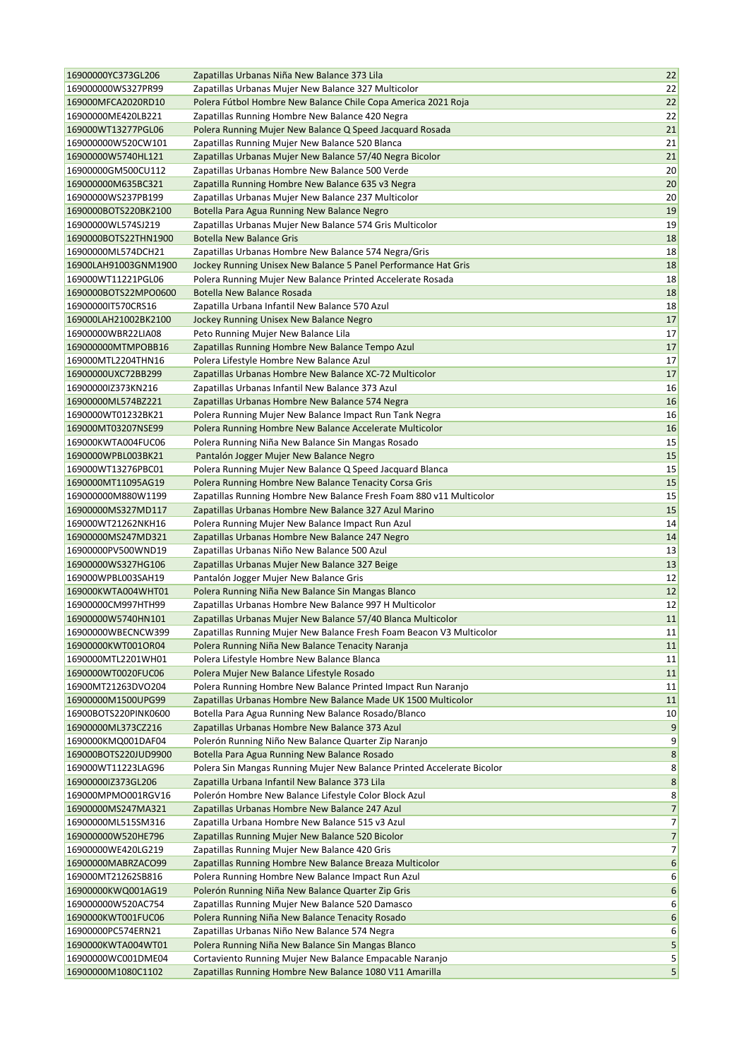| 16900000YC373GL206   | Zapatillas Urbanas Niña New Balance 373 Lila                                                                      | 22             |
|----------------------|-------------------------------------------------------------------------------------------------------------------|----------------|
| 169000000WS327PR99   | Zapatillas Urbanas Mujer New Balance 327 Multicolor                                                               | 22             |
| 169000MFCA2020RD10   | Polera Fútbol Hombre New Balance Chile Copa America 2021 Roja                                                     | 22             |
| 16900000ME420LB221   | Zapatillas Running Hombre New Balance 420 Negra                                                                   | 22             |
| 169000WT13277PGL06   | Polera Running Mujer New Balance Q Speed Jacquard Rosada                                                          | 21             |
| 169000000W520CW101   | Zapatillas Running Mujer New Balance 520 Blanca                                                                   | 21             |
| 16900000W5740HL121   | Zapatillas Urbanas Mujer New Balance 57/40 Negra Bicolor                                                          | 21             |
| 16900000GM500CU112   | Zapatillas Urbanas Hombre New Balance 500 Verde                                                                   | 20             |
| 169000000M635BC321   | Zapatilla Running Hombre New Balance 635 v3 Negra                                                                 | 20             |
| 16900000WS237PB199   | Zapatillas Urbanas Mujer New Balance 237 Multicolor                                                               | 20             |
| 1690000BOTS220BK2100 | Botella Para Agua Running New Balance Negro                                                                       | 19             |
| 16900000WL574SJ219   | Zapatillas Urbanas Mujer New Balance 574 Gris Multicolor                                                          | 19             |
| 1690000BOTS22THN1900 | <b>Botella New Balance Gris</b>                                                                                   | 18             |
| 16900000ML574DCH21   | Zapatillas Urbanas Hombre New Balance 574 Negra/Gris                                                              | 18             |
| 16900LAH91003GNM1900 | Jockey Running Unisex New Balance 5 Panel Performance Hat Gris                                                    | 18             |
| 169000WT11221PGL06   | Polera Running Mujer New Balance Printed Accelerate Rosada                                                        | 18             |
| 1690000BOTS22MPO0600 | Botella New Balance Rosada                                                                                        | 18             |
| 169000001T570CRS16   | Zapatilla Urbana Infantil New Balance 570 Azul                                                                    | 18             |
| 169000LAH21002BK2100 | Jockey Running Unisex New Balance Negro                                                                           | 17             |
| 16900000WBR22LIA08   | Peto Running Mujer New Balance Lila                                                                               | 17             |
| 169000000MTMPOBB16   | Zapatillas Running Hombre New Balance Tempo Azul                                                                  | 17             |
| 169000MTL2204THN16   | Polera Lifestyle Hombre New Balance Azul                                                                          | 17             |
| 16900000UXC72BB299   | Zapatillas Urbanas Hombre New Balance XC-72 Multicolor                                                            | 17             |
| 16900000IZ373KN216   | Zapatillas Urbanas Infantil New Balance 373 Azul                                                                  | 16             |
| 16900000ML574BZ221   | Zapatillas Urbanas Hombre New Balance 574 Negra                                                                   | 16             |
| 1690000WT01232BK21   |                                                                                                                   | 16             |
| 169000MT03207NSE99   | Polera Running Mujer New Balance Impact Run Tank Negra<br>Polera Running Hombre New Balance Accelerate Multicolor | 16             |
|                      |                                                                                                                   |                |
| 169000KWTA004FUC06   | Polera Running Niña New Balance Sin Mangas Rosado                                                                 | 15             |
| 1690000WPBL003BK21   | Pantalón Jogger Mujer New Balance Negro                                                                           | 15             |
| 169000WT13276PBC01   | Polera Running Mujer New Balance Q Speed Jacquard Blanca                                                          | 15<br>15       |
| 1690000MT11095AG19   | Polera Running Hombre New Balance Tenacity Corsa Gris                                                             |                |
| 169000000M880W1199   | Zapatillas Running Hombre New Balance Fresh Foam 880 v11 Multicolor                                               | 15             |
| 16900000MS327MD117   | Zapatillas Urbanas Hombre New Balance 327 Azul Marino                                                             | 15             |
| 169000WT21262NKH16   | Polera Running Mujer New Balance Impact Run Azul                                                                  | 14             |
| 16900000MS247MD321   | Zapatillas Urbanas Hombre New Balance 247 Negro                                                                   | 14             |
| 16900000PV500WND19   | Zapatillas Urbanas Niño New Balance 500 Azul                                                                      | 13             |
| 16900000WS327HG106   | Zapatillas Urbanas Mujer New Balance 327 Beige                                                                    | 13             |
| 169000WPBL003SAH19   | Pantalón Jogger Mujer New Balance Gris                                                                            | 12             |
| 169000KWTA004WHT01   | Polera Running Niña New Balance Sin Mangas Blanco                                                                 | 12             |
| 16900000CM997HTH99   | Zapatillas Urbanas Hombre New Balance 997 H Multicolor                                                            | 12             |
| 16900000W5740HN101   | Zapatillas Urbanas Mujer New Balance 57/40 Blanca Multicolor                                                      | 11             |
| 16900000WBECNCW399   | Zapatillas Running Mujer New Balance Fresh Foam Beacon V3 Multicolor                                              | $11\,$         |
| 16900000KWT001OR04   | Polera Running Niña New Balance Tenacity Naranja                                                                  | 11             |
| 1690000MTL2201WH01   | Polera Lifestyle Hombre New Balance Blanca                                                                        | 11             |
| 1690000WT0020FUC06   | Polera Mujer New Balance Lifestyle Rosado                                                                         | 11             |
| 16900MT21263DVO204   | Polera Running Hombre New Balance Printed Impact Run Naranjo                                                      | 11             |
| 16900000M1500UPG99   | Zapatillas Urbanas Hombre New Balance Made UK 1500 Multicolor                                                     | 11             |
| 16900BOTS220PINK0600 | Botella Para Agua Running New Balance Rosado/Blanco                                                               | 10             |
| 16900000ML373CZ216   | Zapatillas Urbanas Hombre New Balance 373 Azul                                                                    | $9\,$          |
| 1690000KMQ001DAF04   | Polerón Running Niño New Balance Quarter Zip Naranjo                                                              | 9              |
| 169000BOTS220JUD9900 | Botella Para Agua Running New Balance Rosado                                                                      | $\bf 8$        |
| 169000WT11223LAG96   | Polera Sin Mangas Running Mujer New Balance Printed Accelerate Bicolor                                            | 8              |
| 16900000IZ373GL206   | Zapatilla Urbana Infantil New Balance 373 Lila                                                                    | $\bf 8$        |
| 169000MPMO001RGV16   | Polerón Hombre New Balance Lifestyle Color Block Azul                                                             | 8              |
| 16900000MS247MA321   | Zapatillas Urbanas Hombre New Balance 247 Azul                                                                    | $\overline{7}$ |
| 16900000ML515SM316   | Zapatilla Urbana Hombre New Balance 515 v3 Azul                                                                   | $7\vert$       |
| 169000000W520HE796   | Zapatillas Running Mujer New Balance 520 Bicolor                                                                  | 7              |
| 16900000WE420LG219   | Zapatillas Running Mujer New Balance 420 Gris                                                                     | $7\vert$       |
| 16900000MABRZACO99   | Zapatillas Running Hombre New Balance Breaza Multicolor                                                           | 6              |
| 169000MT21262SB816   | Polera Running Hombre New Balance Impact Run Azul                                                                 | 6              |
| 16900000KWQ001AG19   | Polerón Running Niña New Balance Quarter Zip Gris                                                                 | 6              |
| 169000000W520AC754   | Zapatillas Running Mujer New Balance 520 Damasco                                                                  | 6              |
| 1690000KWT001FUC06   | Polera Running Niña New Balance Tenacity Rosado                                                                   | 6              |
| 16900000PC574ERN21   | Zapatillas Urbanas Niño New Balance 574 Negra                                                                     | 6              |
| 1690000KWTA004WT01   | Polera Running Niña New Balance Sin Mangas Blanco                                                                 | 5              |
| 16900000WC001DME04   | Cortaviento Running Mujer New Balance Empacable Naranjo                                                           | 5              |
| 16900000M1080C1102   | Zapatillas Running Hombre New Balance 1080 V11 Amarilla                                                           | 5              |